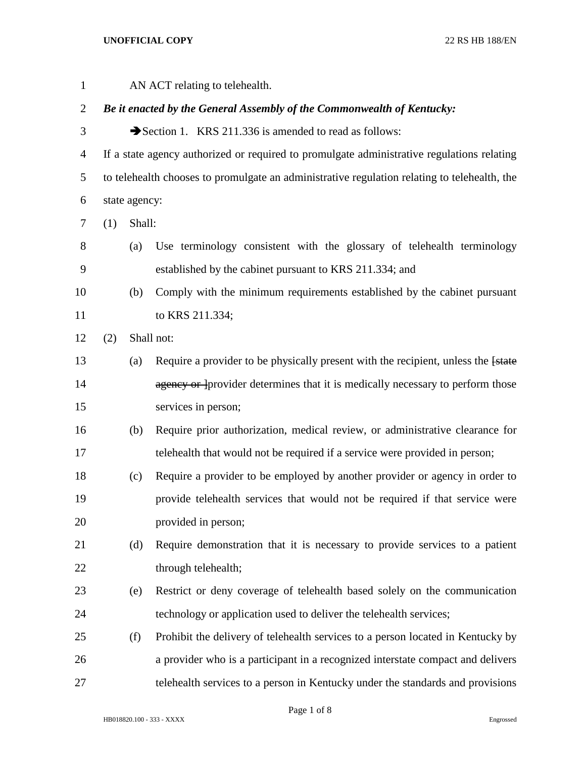## **UNOFFICIAL COPY** 22 RS HB 188/EN

| $\mathbf{1}$   |                                                                                              |               | AN ACT relating to telehealth.                                                     |  |
|----------------|----------------------------------------------------------------------------------------------|---------------|------------------------------------------------------------------------------------|--|
| $\overline{2}$ | Be it enacted by the General Assembly of the Commonwealth of Kentucky:                       |               |                                                                                    |  |
| 3              |                                                                                              |               | Section 1. KRS 211.336 is amended to read as follows:                              |  |
| $\overline{4}$ | If a state agency authorized or required to promulgate administrative regulations relating   |               |                                                                                    |  |
| 5              | to telehealth chooses to promulgate an administrative regulation relating to telehealth, the |               |                                                                                    |  |
| 6              |                                                                                              | state agency: |                                                                                    |  |
| 7              | (1)                                                                                          | Shall:        |                                                                                    |  |
| 8              |                                                                                              | (a)           | Use terminology consistent with the glossary of telehealth terminology             |  |
| 9              |                                                                                              |               | established by the cabinet pursuant to KRS 211.334; and                            |  |
| 10             |                                                                                              | (b)           | Comply with the minimum requirements established by the cabinet pursuant           |  |
| 11             |                                                                                              |               | to KRS 211.334;                                                                    |  |
| 12             | (2)                                                                                          |               | Shall not:                                                                         |  |
| 13             |                                                                                              | (a)           | Require a provider to be physically present with the recipient, unless the [state] |  |
| 14             |                                                                                              |               | agency or Iprovider determines that it is medically necessary to perform those     |  |
| 15             |                                                                                              |               | services in person;                                                                |  |
| 16             |                                                                                              | (b)           | Require prior authorization, medical review, or administrative clearance for       |  |
| 17             |                                                                                              |               | telehealth that would not be required if a service were provided in person;        |  |
| 18             |                                                                                              | (c)           | Require a provider to be employed by another provider or agency in order to        |  |
| 19             |                                                                                              |               | provide telehealth services that would not be required if that service were        |  |
| 20             |                                                                                              |               | provided in person;                                                                |  |
| 21             |                                                                                              | (d)           | Require demonstration that it is necessary to provide services to a patient        |  |
| 22             |                                                                                              |               | through telehealth;                                                                |  |
| 23             |                                                                                              | (e)           | Restrict or deny coverage of telehealth based solely on the communication          |  |
| 24             |                                                                                              |               | technology or application used to deliver the telehealth services;                 |  |
| 25             |                                                                                              | (f)           | Prohibit the delivery of telehealth services to a person located in Kentucky by    |  |
| 26             |                                                                                              |               | a provider who is a participant in a recognized interstate compact and delivers    |  |
| 27             |                                                                                              |               | telehealth services to a person in Kentucky under the standards and provisions     |  |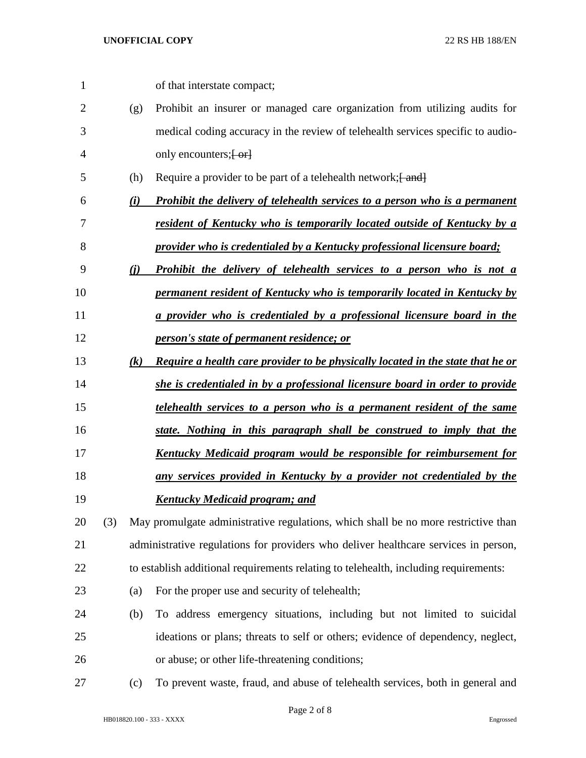| $\mathbf{1}$   |     |     | of that interstate compact;                                                          |
|----------------|-----|-----|--------------------------------------------------------------------------------------|
| $\overline{2}$ |     | (g) | Prohibit an insurer or managed care organization from utilizing audits for           |
| 3              |     |     | medical coding accuracy in the review of telehealth services specific to audio-      |
| 4              |     |     | only encounters; $\left\{ -\alpha \right\}$                                          |
| 5              |     | (h) | Require a provider to be part of a telehealth network; [ and]                        |
| 6              |     | (i) | <b>Prohibit the delivery of telehealth services to a person who is a permanent</b>   |
| 7              |     |     | <u>resident of Kentucky who is temporarily located outside of Kentucky by a</u>      |
| 8              |     |     | provider who is credentialed by a Kentucky professional licensure board;             |
| 9              |     | (i) | <b>Prohibit the delivery of telehealth services to a person who is not a</b>         |
| 10             |     |     | permanent resident of Kentucky who is temporarily located in Kentucky by             |
| 11             |     |     | a provider who is credentialed by a professional licensure board in the              |
| 12             |     |     | person's state of permanent residence; or                                            |
| 13             |     | (k) | Require a health care provider to be physically located in the state that he or      |
| 14             |     |     | she is credentialed in by a professional licensure board in order to provide         |
| 15             |     |     | <u>telehealth services to a person who is a permanent resident of the same</u>       |
| 16             |     |     | state. Nothing in this paragraph shall be construed to imply that the                |
| 17             |     |     | <u>Kentucky Medicaid program would be responsible for reimbursement for</u>          |
| 18             |     |     | any services provided in Kentucky by a provider not credentialed by the              |
| 19             |     |     | <b>Kentucky Medicaid program; and</b>                                                |
| 20             | (3) |     | May promulgate administrative regulations, which shall be no more restrictive than   |
| 21             |     |     | administrative regulations for providers who deliver healthcare services in person,  |
| 22             |     |     | to establish additional requirements relating to telehealth, including requirements: |
| 23             |     | (a) | For the proper use and security of telehealth;                                       |
| 24             |     | (b) | To address emergency situations, including but not limited to suicidal               |
| 25             |     |     | ideations or plans; threats to self or others; evidence of dependency, neglect,      |
| 26             |     |     | or abuse; or other life-threatening conditions;                                      |
| 27             |     | (c) | To prevent waste, fraud, and abuse of telehealth services, both in general and       |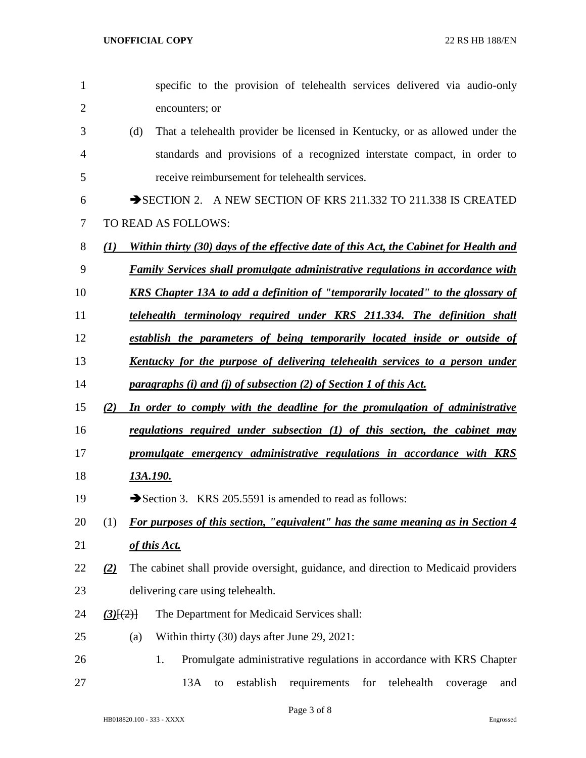| 1              |                 |     | specific to the provision of telehealth services delivered via audio-only              |
|----------------|-----------------|-----|----------------------------------------------------------------------------------------|
| $\overline{2}$ |                 |     | encounters; or                                                                         |
| 3              |                 | (d) | That a telehealth provider be licensed in Kentucky, or as allowed under the            |
| 4              |                 |     | standards and provisions of a recognized interstate compact, in order to               |
| 5              |                 |     | receive reimbursement for telehealth services.                                         |
| 6              |                 |     | SECTION 2. A NEW SECTION OF KRS 211.332 TO 211.338 IS CREATED                          |
| 7              |                 |     | TO READ AS FOLLOWS:                                                                    |
| 8              | (1)             |     | Within thirty (30) days of the effective date of this Act, the Cabinet for Health and  |
| 9              |                 |     | <b>Family Services shall promulgate administrative regulations in accordance with</b>  |
| 10             |                 |     | <b>KRS</b> Chapter 13A to add a definition of "temporarily located" to the glossary of |
| 11             |                 |     | telehealth terminology required under KRS 211.334. The definition shall                |
| 12             |                 |     | establish the parameters of being temporarily located inside or outside of             |
| 13             |                 |     | <u>Kentucky for the purpose of delivering telehealth services to a person under</u>    |
| 14             |                 |     | paragraphs (i) and (j) of subsection (2) of Section 1 of this Act.                     |
| 15             | (2)             |     | In order to comply with the deadline for the promulgation of administrative            |
| 16             |                 |     | regulations required under subsection (1) of this section, the cabinet may             |
| 17             |                 |     | promulgate emergency administrative regulations in accordance with KRS                 |
| 18             |                 |     | 13A.190.                                                                               |
| 19             |                 |     | Section 3. KRS 205.5591 is amended to read as follows:                                 |
| 20             | (1)             |     | <b>For purposes of this section, "equivalent" has the same meaning as in Section 4</b> |
| 21             |                 |     | of this Act.                                                                           |
| 22             | (2)             |     | The cabinet shall provide oversight, guidance, and direction to Medicaid providers     |
| 23             |                 |     | delivering care using telehealth.                                                      |
| 24             | $(3)$ [ $(2)$ ] |     | The Department for Medicaid Services shall:                                            |
| 25             |                 | (a) | Within thirty (30) days after June 29, 2021:                                           |
| 26             |                 |     | 1.<br>Promulgate administrative regulations in accordance with KRS Chapter             |
| 27             |                 |     | 13A<br>establish<br>requirements<br>for<br>telehealth<br>to<br>coverage<br>and         |
|                |                 |     |                                                                                        |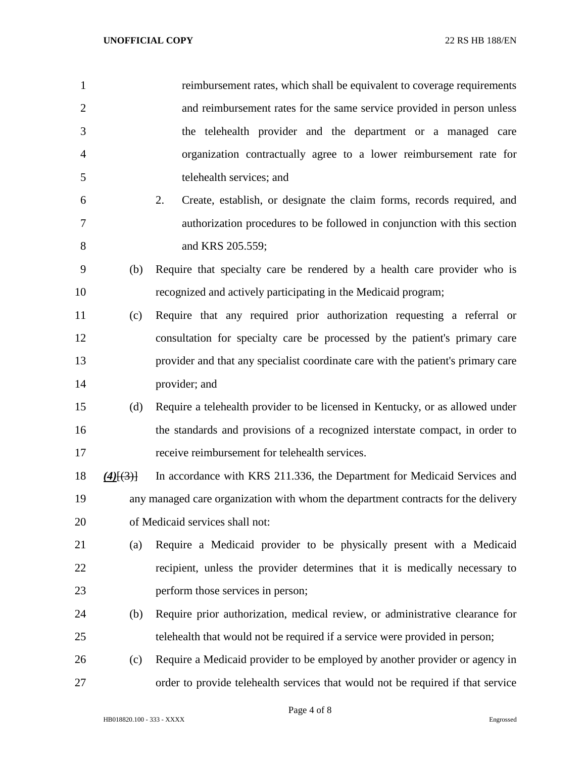| $\mathbf{1}$   |               | reimbursement rates, which shall be equivalent to coverage requirements           |
|----------------|---------------|-----------------------------------------------------------------------------------|
| $\overline{2}$ |               | and reimbursement rates for the same service provided in person unless            |
| 3              |               | the telehealth provider and the department or a managed care                      |
| $\overline{4}$ |               | organization contractually agree to a lower reimbursement rate for                |
| 5              |               | telehealth services; and                                                          |
| 6              |               | 2.<br>Create, establish, or designate the claim forms, records required, and      |
| 7              |               | authorization procedures to be followed in conjunction with this section          |
| 8              |               | and KRS 205.559;                                                                  |
| 9              | (b)           | Require that specialty care be rendered by a health care provider who is          |
| 10             |               | recognized and actively participating in the Medicaid program;                    |
| 11             | (c)           | Require that any required prior authorization requesting a referral or            |
| 12             |               | consultation for specialty care be processed by the patient's primary care        |
| 13             |               | provider and that any specialist coordinate care with the patient's primary care  |
| 14             |               | provider; and                                                                     |
| 15             | (d)           | Require a telehealth provider to be licensed in Kentucky, or as allowed under     |
| 16             |               | the standards and provisions of a recognized interstate compact, in order to      |
| 17             |               | receive reimbursement for telehealth services.                                    |
| 18             | $(4)$ $(3)$ } | In accordance with KRS 211.336, the Department for Medicaid Services and          |
| 19             |               | any managed care organization with whom the department contracts for the delivery |
| 20             |               | of Medicaid services shall not:                                                   |
| 21             | (a)           | Require a Medicaid provider to be physically present with a Medicaid              |
| 22             |               | recipient, unless the provider determines that it is medically necessary to       |
| 23             |               | perform those services in person;                                                 |
| 24             | (b)           | Require prior authorization, medical review, or administrative clearance for      |
| 25             |               | telehealth that would not be required if a service were provided in person;       |
| 26             | (c)           | Require a Medicaid provider to be employed by another provider or agency in       |
| 27             |               | order to provide telehealth services that would not be required if that service   |

Page 4 of 8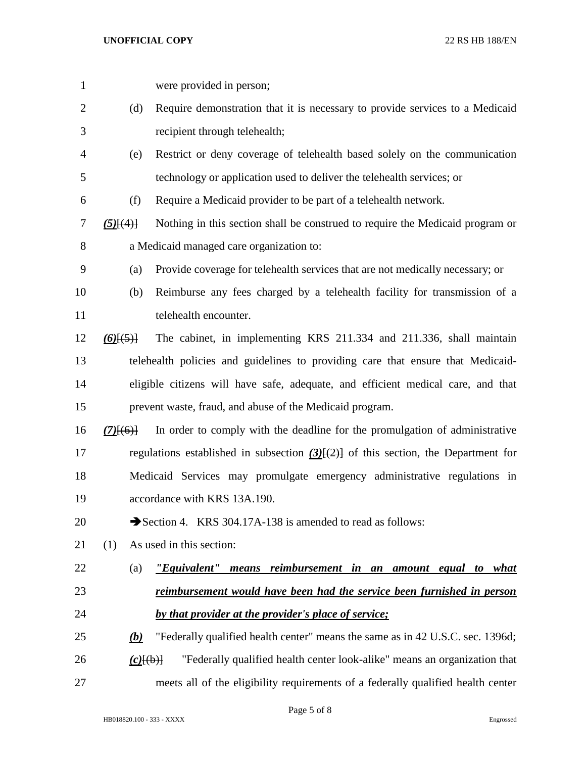| $\mathbf{1}$ |                    | were provided in person;                                                                  |
|--------------|--------------------|-------------------------------------------------------------------------------------------|
| 2            | (d)                | Require demonstration that it is necessary to provide services to a Medicaid              |
| 3            |                    | recipient through telehealth;                                                             |
| 4            | (e)                | Restrict or deny coverage of telehealth based solely on the communication                 |
| 5            |                    | technology or application used to deliver the telehealth services; or                     |
| 6            | (f)                | Require a Medicaid provider to be part of a telehealth network.                           |
| 7            | $(5)$ [ $(4)$ ]    | Nothing in this section shall be construed to require the Medicaid program or             |
| 8            |                    | a Medicaid managed care organization to:                                                  |
| 9            | (a)                | Provide coverage for telehealth services that are not medically necessary; or             |
| 10           | (b)                | Reimburse any fees charged by a telehealth facility for transmission of a                 |
| 11           |                    | telehealth encounter.                                                                     |
| 12           | $(6)$ $(5)$        | The cabinet, in implementing KRS 211.334 and 211.336, shall maintain                      |
| 13           |                    | telehealth policies and guidelines to providing care that ensure that Medicaid-           |
| 14           |                    | eligible citizens will have safe, adequate, and efficient medical care, and that          |
| 15           |                    | prevent waste, fraud, and abuse of the Medicaid program.                                  |
| 16           | $(7)$ $(6)$        | In order to comply with the deadline for the promulgation of administrative               |
| 17           |                    | regulations established in subsection $(3)$ [ $(2)$ ] of this section, the Department for |
| 18           |                    | Medicaid Services may promulgate emergency administrative regulations in                  |
| 19           |                    | accordance with KRS 13A.190.                                                              |
| 20           |                    | Section 4. KRS 304.17A-138 is amended to read as follows:                                 |
| 21           | (1)                | As used in this section:                                                                  |
| 22           | (a)                | "Equivalent" means reimbursement in an amount equal to what                               |
| 23           |                    | reimbursement would have been had the service been furnished in person                    |
| 24           |                    | by that provider at the provider's place of service;                                      |
| 25           | (b)                | "Federally qualified health center" means the same as in 42 U.S.C. sec. 1396d;            |
| 26           | $(c)$ $\{\theta\}$ | "Federally qualified health center look-alike" means an organization that                 |
| 27           |                    | meets all of the eligibility requirements of a federally qualified health center          |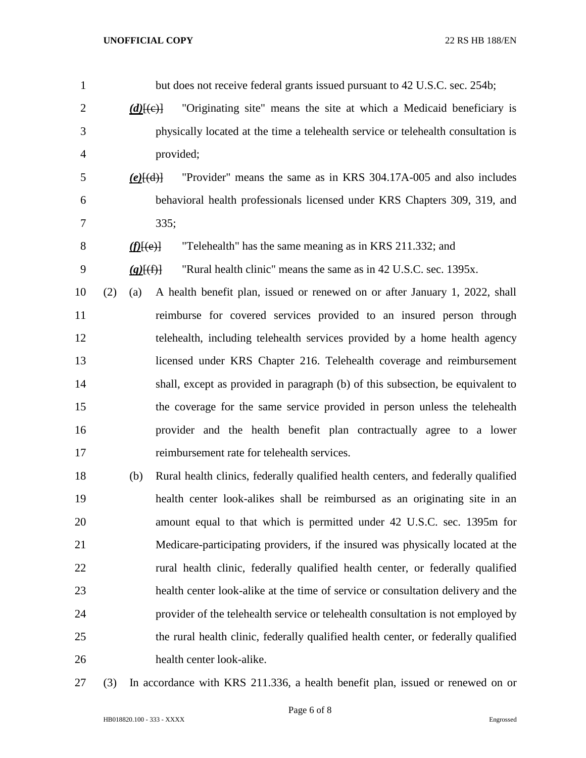| $\mathbf{1}$   |     |               | but does not receive federal grants issued pursuant to 42 U.S.C. sec. 254b;        |
|----------------|-----|---------------|------------------------------------------------------------------------------------|
| $\overline{2}$ |     | $(d)$ $\{e\}$ | "Originating site" means the site at which a Medicaid beneficiary is               |
| 3              |     |               | physically located at the time a telehealth service or telehealth consultation is  |
| 4              |     |               | provided;                                                                          |
| 5              |     | $(e)$ $\{d\}$ | "Provider" means the same as in KRS 304.17A-005 and also includes                  |
| 6              |     |               | behavioral health professionals licensed under KRS Chapters 309, 319, and          |
| 7              |     |               | 335;                                                                               |
| 8              |     | $(f)$ [(e)]   | "Telehealth" has the same meaning as in KRS 211.332; and                           |
| 9              |     | (g)(f)        | "Rural health clinic" means the same as in 42 U.S.C. sec. 1395x.                   |
| 10             | (2) | (a)           | A health benefit plan, issued or renewed on or after January 1, 2022, shall        |
| 11             |     |               | reimburse for covered services provided to an insured person through               |
| 12             |     |               | telehealth, including telehealth services provided by a home health agency         |
| 13             |     |               | licensed under KRS Chapter 216. Telehealth coverage and reimbursement              |
| 14             |     |               | shall, except as provided in paragraph (b) of this subsection, be equivalent to    |
| 15             |     |               | the coverage for the same service provided in person unless the telehealth         |
| 16             |     |               | provider and the health benefit plan contractually agree to a lower                |
| 17             |     |               | reimbursement rate for telehealth services.                                        |
| 18             |     | (b)           | Rural health clinics, federally qualified health centers, and federally qualified  |
| 19             |     |               | health center look-alikes shall be reimbursed as an originating site in an         |
| 20             |     |               | amount equal to that which is permitted under 42 U.S.C. sec. 1395m for             |
| 21             |     |               | Medicare-participating providers, if the insured was physically located at the     |
| 22             |     |               | rural health clinic, federally qualified health center, or federally qualified     |
| 23             |     |               | health center look-alike at the time of service or consultation delivery and the   |
| 24             |     |               | provider of the telehealth service or telehealth consultation is not employed by   |
| 25             |     |               | the rural health clinic, federally qualified health center, or federally qualified |
| 26             |     |               | health center look-alike.                                                          |
|                |     |               |                                                                                    |

(3) In accordance with KRS 211.336, a health benefit plan, issued or renewed on or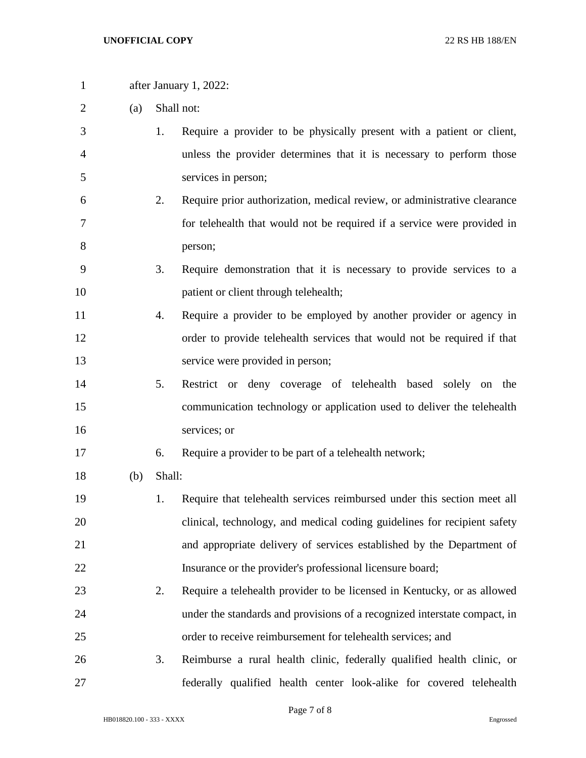after January 1, 2022: (a) Shall not: 1. Require a provider to be physically present with a patient or client, unless the provider determines that it is necessary to perform those services in person; 2. Require prior authorization, medical review, or administrative clearance for telehealth that would not be required if a service were provided in person; 3. Require demonstration that it is necessary to provide services to a 10 patient or client through telehealth; 4. Require a provider to be employed by another provider or agency in order to provide telehealth services that would not be required if that service were provided in person; 5. Restrict or deny coverage of telehealth based solely on the communication technology or application used to deliver the telehealth services; or 6. Require a provider to be part of a telehealth network; (b) Shall: 1. Require that telehealth services reimbursed under this section meet all clinical, technology, and medical coding guidelines for recipient safety and appropriate delivery of services established by the Department of 22 Insurance or the provider's professional licensure board; 2. Require a telehealth provider to be licensed in Kentucky, or as allowed under the standards and provisions of a recognized interstate compact, in order to receive reimbursement for telehealth services; and 3. Reimburse a rural health clinic, federally qualified health clinic, or

federally qualified health center look-alike for covered telehealth